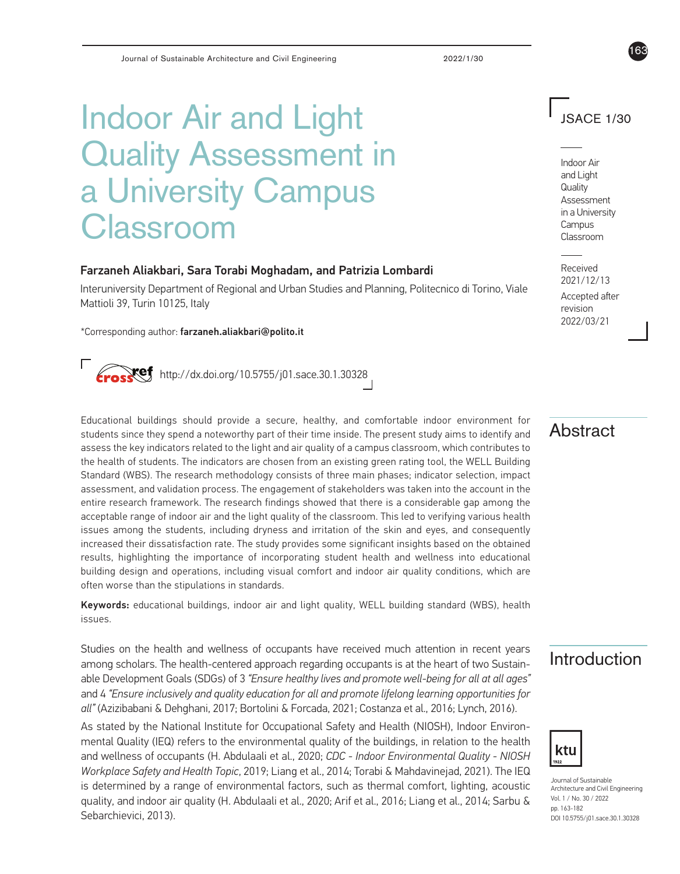# Indoor Air and Light Quality Assessment in a University Campus Classroom

#### Farzaneh Aliakbari, Sara Torabi Moghadam, and Patrizia Lombardi

Interuniversity Department of Regional and Urban Studies and Planning, Politecnico di Torino, Viale Mattioli 39, Turin 10125, Italy

\*Corresponding author: farzaneh.aliakbari@polito.it

 $Xef$  http://dx.doi.org/10.5755/j01.sace.30.1.30328

Educational buildings should provide a secure, healthy, and comfortable indoor environment for students since they spend a noteworthy part of their time inside. The present study aims to identify and assess the key indicators related to the light and air quality of a campus classroom, which contributes to the health of students. The indicators are chosen from an existing green rating tool, the WELL Building Standard (WBS). The research methodology consists of three main phases; indicator selection, impact assessment, and validation process. The engagement of stakeholders was taken into the account in the entire research framework. The research findings showed that there is a considerable gap among the acceptable range of indoor air and the light quality of the classroom. This led to verifying various health issues among the students, including dryness and irritation of the skin and eyes, and consequently increased their dissatisfaction rate. The study provides some significant insights based on the obtained results, highlighting the importance of incorporating student health and wellness into educational building design and operations, including visual comfort and indoor air quality conditions, which are often worse than the stipulations in standards.

Keywords: educational buildings, indoor air and light quality, WELL building standard (WBS), health issues.

Studies on the health and wellness of occupants have received much attention in recent years **Introduction**<br>among scholars. The health-centered approach regarding occupants is at the heart of two Sustainable Development Goals (SDGs) of 3 *"Ensure healthy lives and promote well-being for all at all ages"* and 4 *"Ensure inclusively and quality education for all and promote lifelong learning opportunities for all"* (Azizibabani & Dehghani, 2017; Bortolini & Forcada, 2021; Costanza et al., 2016; Lynch, 2016).

As stated by the National Institute for Occupational Safety and Health (NIOSH), Indoor Environmental Quality (IEQ) refers to the environmental quality of the buildings, in relation to the health and wellness of occupants (H. Abdulaali et al., 2020; *CDC - Indoor Environmental Quality - NIOSH Workplace Safety and Health Topic*, 2019; Liang et al., 2014; Torabi & Mahdavinejad, 2021). The IEQ is determined by a range of environmental factors, such as thermal comfort, lighting, acoustic quality, and indoor air quality (H. Abdulaali et al., 2020; Arif et al., 2016; Liang et al., 2014; Sarbu & Sebarchievici, 2013).

## JSACE 1/30

163

Indoor Air and Light **Quality** Assessment in a University Campus Classroom

Received 2021/12/13 Accepted after revision 2022/03/21

## **Abstract**



Journal of Sustainable Architecture and Civil Engineering Vol. 1 / No. 30 / 2022 pp. 163-182 DOI 10.5755/j01.sace.30.1.30328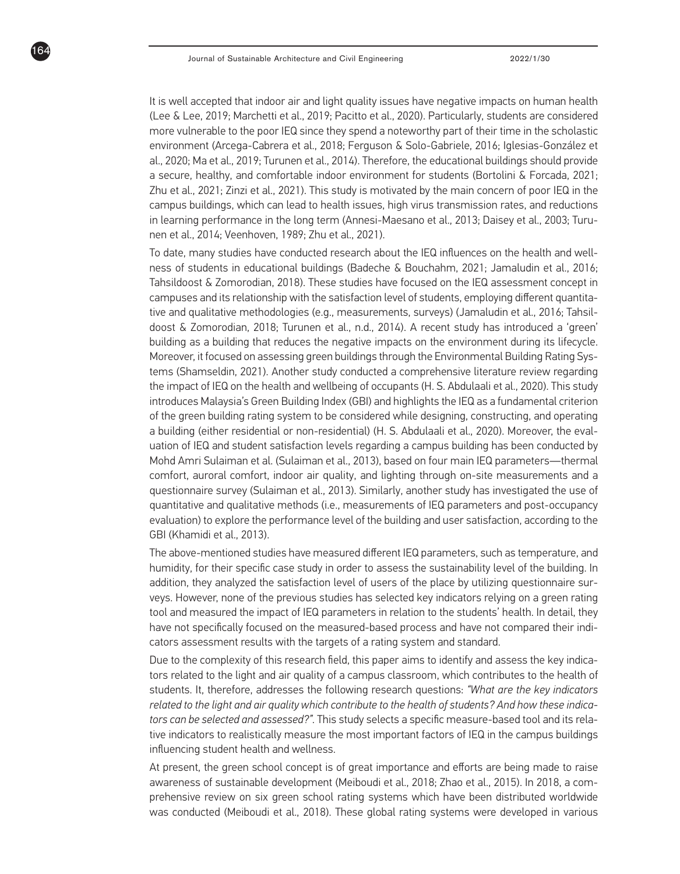164

It is well accepted that indoor air and light quality issues have negative impacts on human health (Lee & Lee, 2019; Marchetti et al., 2019; Pacitto et al., 2020). Particularly, students are considered more vulnerable to the poor IEQ since they spend a noteworthy part of their time in the scholastic environment (Arcega-Cabrera et al., 2018; Ferguson & Solo-Gabriele, 2016; Iglesias-González et al., 2020; Ma et al., 2019; Turunen et al., 2014). Therefore, the educational buildings should provide a secure, healthy, and comfortable indoor environment for students (Bortolini & Forcada, 2021; Zhu et al., 2021; Zinzi et al., 2021). This study is motivated by the main concern of poor IEQ in the campus buildings, which can lead to health issues, high virus transmission rates, and reductions in learning performance in the long term (Annesi-Maesano et al., 2013; Daisey et al., 2003; Turunen et al., 2014; Veenhoven, 1989; Zhu et al., 2021).

To date, many studies have conducted research about the IEQ influences on the health and wellness of students in educational buildings (Badeche & Bouchahm, 2021; Jamaludin et al., 2016; Tahsildoost & Zomorodian, 2018). These studies have focused on the IEQ assessment concept in campuses and its relationship with the satisfaction level of students, employing different quantitative and qualitative methodologies (e.g., measurements, surveys) (Jamaludin et al., 2016; Tahsildoost & Zomorodian, 2018; Turunen et al., n.d., 2014). A recent study has introduced a 'green' building as a building that reduces the negative impacts on the environment during its lifecycle. Moreover, it focused on assessing green buildings through the Environmental Building Rating Systems (Shamseldin, 2021). Another study conducted a comprehensive literature review regarding the impact of IEQ on the health and wellbeing of occupants (H. S. Abdulaali et al., 2020). This study introduces Malaysia's Green Building Index (GBI) and highlights the IEQ as a fundamental criterion of the green building rating system to be considered while designing, constructing, and operating a building (either residential or non-residential) (H. S. Abdulaali et al., 2020). Moreover, the evaluation of IEQ and student satisfaction levels regarding a campus building has been conducted by Mohd Amri Sulaiman et al. (Sulaiman et al., 2013), based on four main IEQ parameters—thermal comfort, auroral comfort, indoor air quality, and lighting through on-site measurements and a questionnaire survey (Sulaiman et al., 2013). Similarly, another study has investigated the use of quantitative and qualitative methods (i.e., measurements of IEQ parameters and post-occupancy evaluation) to explore the performance level of the building and user satisfaction, according to the GBI (Khamidi et al., 2013).

The above-mentioned studies have measured different IEQ parameters, such as temperature, and humidity, for their specific case study in order to assess the sustainability level of the building. In addition, they analyzed the satisfaction level of users of the place by utilizing questionnaire surveys. However, none of the previous studies has selected key indicators relying on a green rating tool and measured the impact of IEQ parameters in relation to the students' health. In detail, they have not specifically focused on the measured-based process and have not compared their indicators assessment results with the targets of a rating system and standard.

Due to the complexity of this research field, this paper aims to identify and assess the key indicators related to the light and air quality of a campus classroom, which contributes to the health of students. It, therefore, addresses the following research questions: *"What are the key indicators related to the light and air quality which contribute to the health of students? And how these indicators can be selected and assessed?"*. This study selects a specific measure-based tool and its relative indicators to realistically measure the most important factors of IEQ in the campus buildings influencing student health and wellness.

At present, the green school concept is of great importance and efforts are being made to raise awareness of sustainable development (Meiboudi et al., 2018; Zhao et al., 2015). In 2018, a comprehensive review on six green school rating systems which have been distributed worldwide was conducted (Meiboudi et al., 2018). These global rating systems were developed in various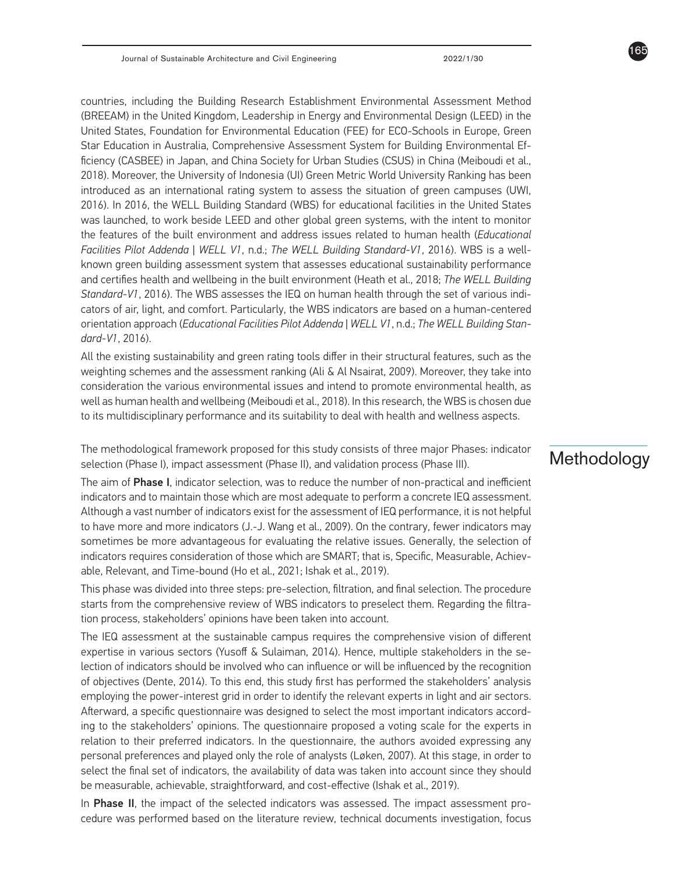countries, including the Building Research Establishment Environmental Assessment Method (BREEAM) in the United Kingdom, Leadership in Energy and Environmental Design (LEED) in the United States, Foundation for Environmental Education (FEE) for ECO-Schools in Europe, Green Star Education in Australia, Comprehensive Assessment System for Building Environmental Efficiency (CASBEE) in Japan, and China Society for Urban Studies (CSUS) in China (Meiboudi et al., 2018). Moreover, the University of Indonesia (UI) Green Metric World University Ranking has been introduced as an international rating system to assess the situation of green campuses (UWI, 2016). In 2016, the WELL Building Standard (WBS) for educational facilities in the United States was launched, to work beside LEED and other global green systems, with the intent to monitor the features of the built environment and address issues related to human health (*Educational Facilities Pilot Addenda | WELL V1*, n.d.; *The WELL Building Standard-V1*, 2016). WBS is a wellknown green building assessment system that assesses educational sustainability performance and certifies health and wellbeing in the built environment (Heath et al., 2018; *The WELL Building Standard-V1*, 2016). The WBS assesses the IEQ on human health through the set of various indicators of air, light, and comfort. Particularly, the WBS indicators are based on a human-centered orientation approach (*Educational Facilities Pilot Addenda | WELL V1*, n.d.; *The WELL Building Standard-V1*, 2016).

All the existing sustainability and green rating tools differ in their structural features, such as the weighting schemes and the assessment ranking (Ali & Al Nsairat, 2009). Moreover, they take into consideration the various environmental issues and intend to promote environmental health, as well as human health and wellbeing (Meiboudi et al., 2018). In this research, the WBS is chosen due to its multidisciplinary performance and its suitability to deal with health and wellness aspects.

The methodological framework proposed for this study consists of three major Phases: indicator selection (Phase I), impact assessment (Phase II), and validation process (Phase III).

The aim of Phase I, indicator selection, was to reduce the number of non-practical and inefficient indicators and to maintain those which are most adequate to perform a concrete IEQ assessment. Although a vast number of indicators exist for the assessment of IEQ performance, it is not helpful to have more and more indicators (J.-J. Wang et al., 2009). On the contrary, fewer indicators may sometimes be more advantageous for evaluating the relative issues. Generally, the selection of indicators requires consideration of those which are SMART; that is, Specific, Measurable, Achievable, Relevant, and Time-bound (Ho et al., 2021; Ishak et al., 2019).

This phase was divided into three steps: pre-selection, filtration, and final selection. The procedure starts from the comprehensive review of WBS indicators to preselect them. Regarding the filtration process, stakeholders' opinions have been taken into account.

The IEQ assessment at the sustainable campus requires the comprehensive vision of different expertise in various sectors (Yusoff & Sulaiman, 2014). Hence, multiple stakeholders in the selection of indicators should be involved who can influence or will be influenced by the recognition of objectives (Dente, 2014). To this end, this study first has performed the stakeholders' analysis employing the power-interest grid in order to identify the relevant experts in light and air sectors. Afterward, a specific questionnaire was designed to select the most important indicators according to the stakeholders' opinions. The questionnaire proposed a voting scale for the experts in relation to their preferred indicators. In the questionnaire, the authors avoided expressing any personal preferences and played only the role of analysts (Løken, 2007). At this stage, in order to select the final set of indicators, the availability of data was taken into account since they should be measurable, achievable, straightforward, and cost-effective (Ishak et al., 2019).

In **Phase II**, the impact of the selected indicators was assessed. The impact assessment procedure was performed based on the literature review, technical documents investigation, focus

## **Methodology**

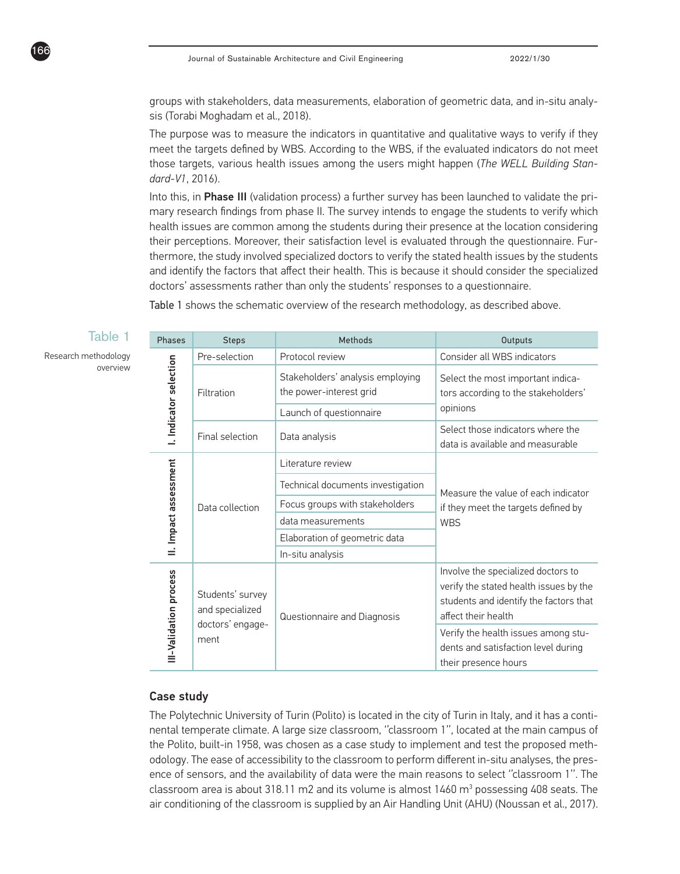groups with stakeholders, data measurements, elaboration of geometric data, and in-situ analysis (Torabi Moghadam et al., 2018).

The purpose was to measure the indicators in quantitative and qualitative ways to verify if they meet the targets defined by WBS. According to the WBS, if the evaluated indicators do not meet those targets, various health issues among the users might happen (*The WELL Building Standard-V1*, 2016).

Into this, in Phase III (validation process) a further survey has been launched to validate the primary research findings from phase II. The survey intends to engage the students to verify which health issues are common among the students during their presence at the location considering their perceptions. Moreover, their satisfaction level is evaluated through the questionnaire. Furthermore, the study involved specialized doctors to verify the stated health issues by the students and identify the factors that affect their health. This is because it should consider the specialized doctors' assessments rather than only the students' responses to a questionnaire.

Table 1 shows the schematic overview of the research methodology, as described above.

#### Table 1

Research methodology overview

166

| Phases                 | <b>Steps</b>                        | Methods                                                     | <b>Outputs</b>                                                                                                                                |  |
|------------------------|-------------------------------------|-------------------------------------------------------------|-----------------------------------------------------------------------------------------------------------------------------------------------|--|
|                        | Pre-selection                       | Protocol review                                             | Consider all WBS indicators                                                                                                                   |  |
| I. Indicator selection | Filtration                          | Stakeholders' analysis employing<br>the power-interest grid | Select the most important indica-<br>tors according to the stakeholders'                                                                      |  |
|                        |                                     | Launch of questionnaire                                     | opinions                                                                                                                                      |  |
|                        | Final selection<br>Data analysis    |                                                             | Select those indicators where the<br>data is available and measurable                                                                         |  |
|                        |                                     | Literature review                                           |                                                                                                                                               |  |
| II. Impact assessment  | Data collection                     | Technical documents investigation                           | Measure the value of each indicator                                                                                                           |  |
|                        |                                     | Focus groups with stakeholders                              | if they meet the targets defined by                                                                                                           |  |
|                        |                                     | data measurements                                           | <b>WBS</b>                                                                                                                                    |  |
|                        |                                     | Elaboration of geometric data                               |                                                                                                                                               |  |
|                        |                                     | In-situ analysis                                            |                                                                                                                                               |  |
| III-Validation process | Students' survey<br>and specialized | Questionnaire and Diagnosis                                 | Involve the specialized doctors to<br>verify the stated health issues by the<br>students and identify the factors that<br>affect their health |  |
|                        | doctors' engage-<br>ment            |                                                             | Verify the health issues among stu-<br>dents and satisfaction level during<br>their presence hours                                            |  |

#### Case study

The Polytechnic University of Turin (Polito) is located in the city of Turin in Italy, and it has a continental temperate climate. A large size classroom, ''classroom 1'', located at the main campus of the Polito, built-in 1958, was chosen as a case study to implement and test the proposed methodology. The ease of accessibility to the classroom to perform different in-situ analyses, the presence of sensors, and the availability of data were the main reasons to select ''classroom 1''. The classroom area is about 318.11 m2 and its volume is almost  $1460 \text{ m}^3$  possessing  $408$  seats. The air conditioning of the classroom is supplied by an Air Handling Unit (AHU) (Noussan et al., 2017).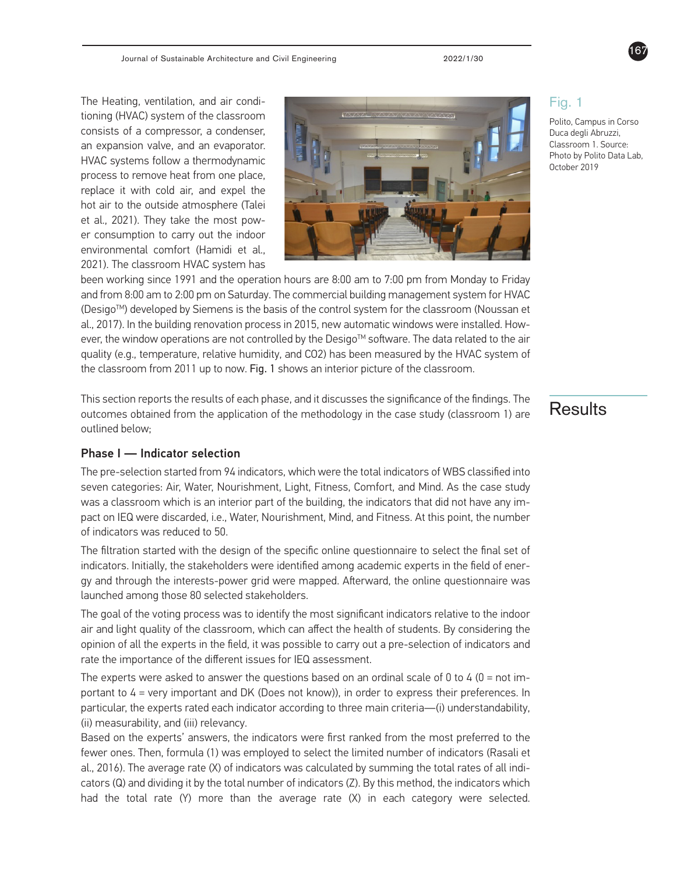The Heating, ventilation, and air conditioning (HVAC) system of the classroom consists of a compressor, a condenser, an expansion valve, and an evaporator. HVAC systems follow a thermodynamic process to remove heat from one place, replace it with cold air, and expel the hot air to the outside atmosphere (Talei et al., 2021). They take the most power consumption to carry out the indoor environmental comfort (Hamidi et al., 2021). The classroom HVAC system has



been working since 1991 and the operation hours are 8:00 am to 7:00 pm from Monday to Friday and from 8:00 am to 2:00 pm on Saturday. The commercial building management system for HVAC (DesigoTM) developed by Siemens is the basis of the control system for the classroom (Noussan et al., 2017). In the building renovation process in 2015, new automatic windows were installed. However, the window operations are not controlled by the Desigo™ software. The data related to the air quality (e.g., temperature, relative humidity, and CO2) has been measured by the HVAC system of the classroom from 2011 up to now. Fig. 1 shows an interior picture of the classroom.

This section reports the results of each phase, and it discusses the significance of the findings. The  $\overline{\text{Results}}$ outlined below;

#### Phase I — Indicator selection

The pre-selection started from 94 indicators, which were the total indicators of WBS classified into seven categories: Air, Water, Nourishment, Light, Fitness, Comfort, and Mind. As the case study was a classroom which is an interior part of the building, the indicators that did not have any impact on IEQ were discarded, i.e., Water, Nourishment, Mind, and Fitness. At this point, the number of indicators was reduced to 50.

The filtration started with the design of the specific online questionnaire to select the final set of indicators. Initially, the stakeholders were identified among academic experts in the field of energy and through the interests-power grid were mapped. Afterward, the online questionnaire was launched among those 80 selected stakeholders.

The goal of the voting process was to identify the most significant indicators relative to the indoor air and light quality of the classroom, which can affect the health of students. By considering the opinion of all the experts in the field, it was possible to carry out a pre-selection of indicators and rate the importance of the different issues for IEQ assessment.

The experts were asked to answer the questions based on an ordinal scale of 0 to 4 ( $0 = not$  important to 4 = very important and DK (Does not know)), in order to express their preferences. In particular, the experts rated each indicator according to three main criteria—(i) understandability, (ii) measurability, and (iii) relevancy.

Based on the experts' answers, the indicators were first ranked from the most preferred to the fewer ones. Then, formula (1) was employed to select the limited number of indicators (Rasali et al., 2016). The average rate (X) of indicators was calculated by summing the total rates of all indicators (Q) and dividing it by the total number of indicators (Z). By this method, the indicators which had the total rate (Y) more than the average rate (X) in each category were selected.

Fig. 1

Polito, Campus in Corso Duca degli Abruzzi, Classroom 1. Source: Photo by Polito Data Lab, October 2019

167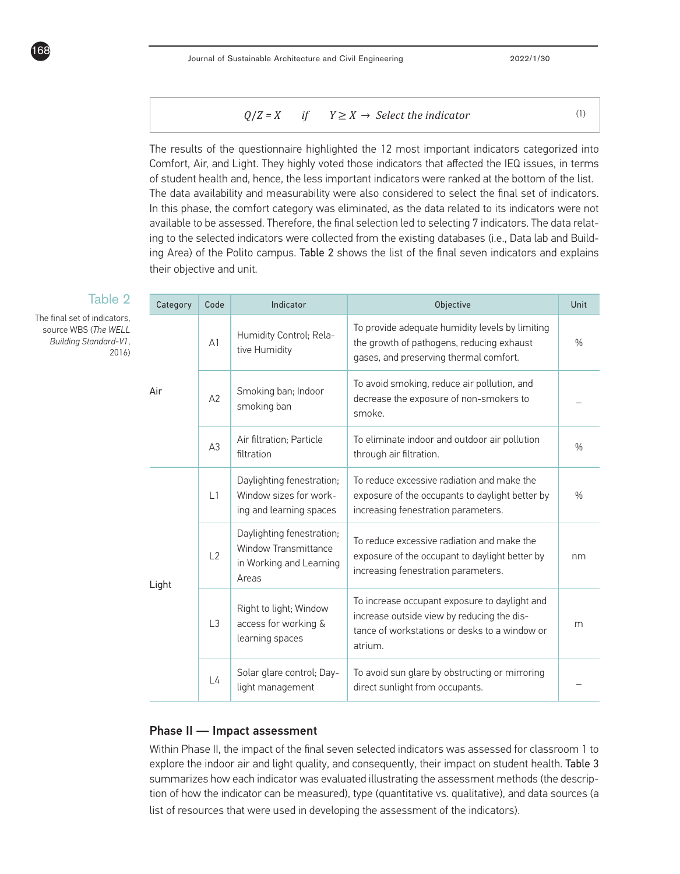$$
Q/Z = X \t\t if \tY \ge X \to Select the indicator \t(1)
$$

The results of the questionnaire highlighted the 12 most important indicators categorized into Comfort, Air, and Light. They highly voted those indicators that affected the IEQ issues, in terms of student health and, hence, the less important indicators were ranked at the bottom of the list. The data availability and measurability were also considered to select the final set of indicators. In this phase, the comfort category was eliminated, as the data related to its indicators were not available to be assessed. Therefore, the final selection led to selecting 7 indicators. The data relating to the selected indicators were collected from the existing databases (i.e., Data lab and Building Area) of the Polito campus. Table 2 shows the list of the final seven indicators and explains their objective and unit.

|  | Category | Code           | Indicator                                                                                    | Objective                                                                                                                                               | Unit          |
|--|----------|----------------|----------------------------------------------------------------------------------------------|---------------------------------------------------------------------------------------------------------------------------------------------------------|---------------|
|  |          | A <sub>1</sub> | Humidity Control; Rela-<br>tive Humidity                                                     | To provide adequate humidity levels by limiting<br>the growth of pathogens, reducing exhaust<br>gases, and preserving thermal comfort.                  | $\%$          |
|  | Air      | A2             | Smoking ban; Indoor<br>smoking ban                                                           | To avoid smoking, reduce air pollution, and<br>decrease the exposure of non-smokers to<br>smoke.                                                        |               |
|  |          | A <sub>3</sub> | Air filtration; Particle<br>filtration                                                       | To eliminate indoor and outdoor air pollution<br>through air filtration.                                                                                | $\%$          |
|  |          | L1             | Daylighting fenestration;<br>Window sizes for work-<br>ing and learning spaces               | To reduce excessive radiation and make the<br>exposure of the occupants to daylight better by<br>increasing fenestration parameters.                    | $\frac{0}{0}$ |
|  | Light    | L2             | Daylighting fenestration;<br><b>Window Transmittance</b><br>in Working and Learning<br>Areas | To reduce excessive radiation and make the<br>exposure of the occupant to daylight better by<br>increasing fenestration parameters.                     | nm            |
|  |          | L <sub>3</sub> | Right to light; Window<br>access for working &<br>learning spaces                            | To increase occupant exposure to daylight and<br>increase outside view by reducing the dis-<br>tance of workstations or desks to a window or<br>atrium. | m             |
|  |          | L4             | Solar glare control; Day-<br>light management                                                | To avoid sun glare by obstructing or mirroring<br>direct sunlight from occupants.                                                                       |               |

#### Table 2

The final set of indicators, source WBS (*The WELL Building Standard-V1*, 2016)

168

#### Phase II — Impact assessment

Within Phase II, the impact of the final seven selected indicators was assessed for classroom 1 to explore the indoor air and light quality, and consequently, their impact on student health. Table 3 summarizes how each indicator was evaluated illustrating the assessment methods (the description of how the indicator can be measured), type (quantitative vs. qualitative), and data sources (a list of resources that were used in developing the assessment of the indicators).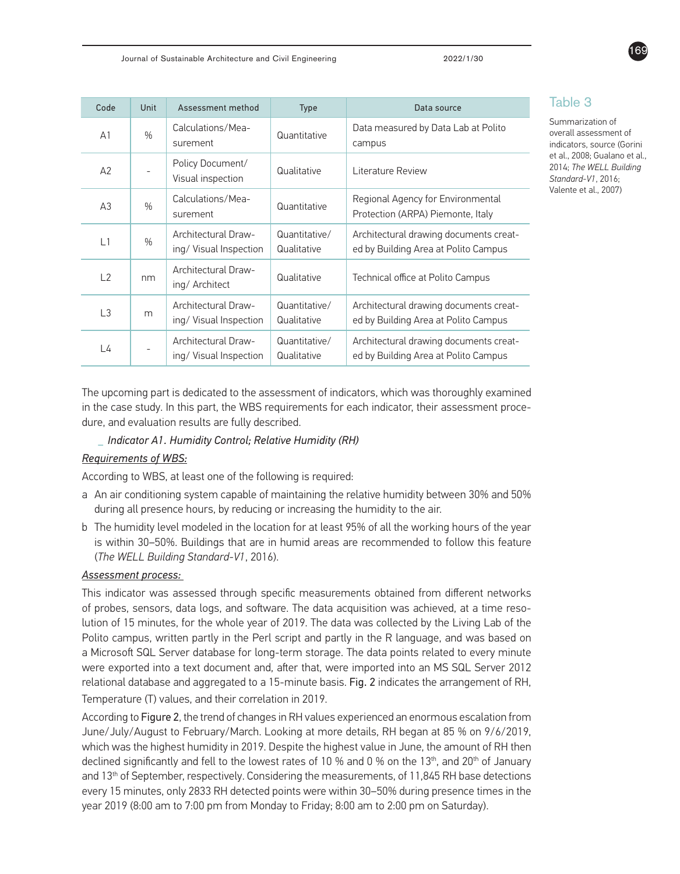| Code                                                                                                                               | Unit          | Assessment method                             | Type                                                                           | Data source                                                                    |  |  |
|------------------------------------------------------------------------------------------------------------------------------------|---------------|-----------------------------------------------|--------------------------------------------------------------------------------|--------------------------------------------------------------------------------|--|--|
| A <sub>1</sub>                                                                                                                     | $\frac{0}{n}$ | Calculations/Mea-<br>surement                 | Quantitative                                                                   | Data measured by Data Lab at Polito<br>campus                                  |  |  |
| A2                                                                                                                                 |               | Policy Document/<br>Visual inspection         | Qualitative                                                                    | Literature Review                                                              |  |  |
| A3                                                                                                                                 | $\frac{0}{n}$ | Calculations/Mea-<br>surement                 | Quantitative                                                                   | Regional Agency for Environmental<br>Protection (ARPA) Piemonte, Italy         |  |  |
| L1                                                                                                                                 | $\frac{0}{0}$ | Architectural Draw-<br>ing/ Visual Inspection | Quantitative/<br>Qualitative                                                   | Architectural drawing documents creat-<br>ed by Building Area at Polito Campus |  |  |
| L2                                                                                                                                 | nm            | Architectural Draw-<br>ing/ Architect         | Qualitative                                                                    | Technical office at Polito Campus                                              |  |  |
| Architectural Draw-<br>L <sub>3</sub><br>m<br>ing/ Visual Inspection<br><b>Architectural Draw-</b><br>L4<br>ing/ Visual Inspection |               |                                               | Quantitative/<br>Qualitative                                                   | Architectural drawing documents creat-<br>ed by Building Area at Polito Campus |  |  |
|                                                                                                                                    |               | Quantitative/<br>Qualitative                  | Architectural drawing documents creat-<br>ed by Building Area at Polito Campus |                                                                                |  |  |

#### Table 3

Summarization of overall assessment of indicators, source (Gorini et al., 2008; Gualano et al., 2014; *The WELL Building Standard-V1*, 2016; Valente et al., 2007)

The upcoming part is dedicated to the assessment of indicators, which was thoroughly examined in the case study. In this part, the WBS requirements for each indicator, their assessment procedure, and evaluation results are fully described.

#### **\_** *Indicator A1. Humidity Control; Relative Humidity (RH)*

#### *Requirements of WBS:*

According to WBS, at least one of the following is required:

- a An air conditioning system capable of maintaining the relative humidity between 30% and 50% during all presence hours, by reducing or increasing the humidity to the air.
- b The humidity level modeled in the location for at least 95% of all the working hours of the year is within 30–50%. Buildings that are in humid areas are recommended to follow this feature (*The WELL Building Standard-V1*, 2016).

#### *Assessment process:*

This indicator was assessed through specific measurements obtained from different networks of probes, sensors, data logs, and software. The data acquisition was achieved, at a time resolution of 15 minutes, for the whole year of 2019. The data was collected by the Living Lab of the Polito campus, written partly in the Perl script and partly in the R language, and was based on a Microsoft SQL Server database for long-term storage. The data points related to every minute were exported into a text document and, after that, were imported into an MS SQL Server 2012 relational database and aggregated to a 15-minute basis. Fig. 2 indicates the arrangement of RH, Temperature (T) values, and their correlation in 2019.

According to Figure 2, the trend of changes in RH values experienced an enormous escalation from June/July/August to February/March. Looking at more details, RH began at 85 % on 9/6/2019, which was the highest humidity in 2019. Despite the highest value in June, the amount of RH then declined significantly and fell to the lowest rates of 10 % and 0 % on the 13<sup>th</sup>, and 20<sup>th</sup> of January and 13th of September, respectively. Considering the measurements, of 11,845 RH base detections every 15 minutes, only 2833 RH detected points were within 30–50% during presence times in the year 2019 (8:00 am to 7:00 pm from Monday to Friday; 8:00 am to 2:00 pm on Saturday).

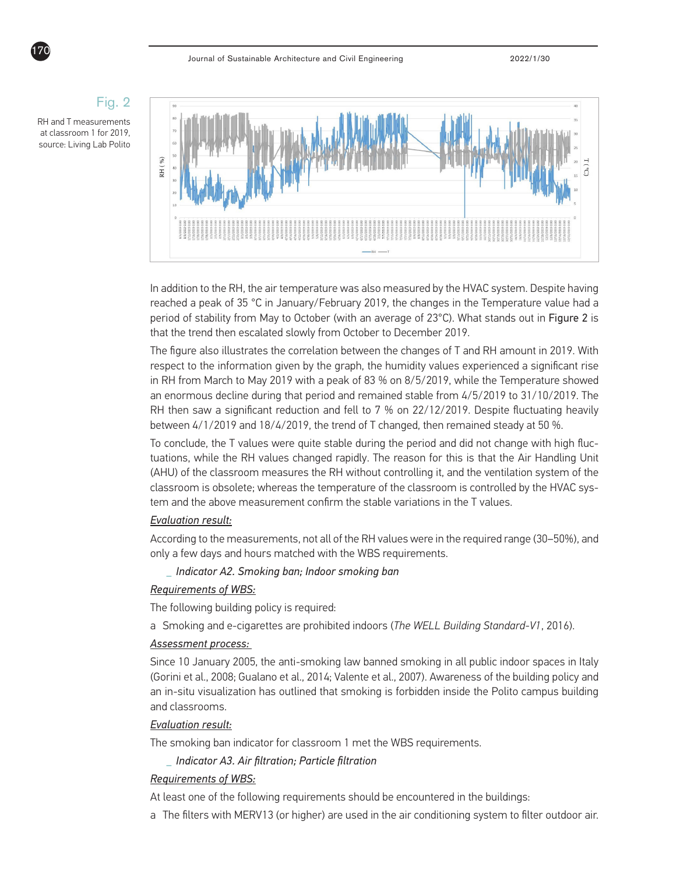

In addition to the RH, the air temperature was also measured by the HVAC system. Despite having reached a peak of 35 °C in January/February 2019, the changes in the Temperature value had a period of stability from May to October (with an average of 23°C). What stands out in Figure 2 is that the trend then escalated slowly from October to December 2019.

The figure also illustrates the correlation between the changes of T and RH amount in 2019. With respect to the information given by the graph, the humidity values experienced a significant rise in RH from March to May 2019 with a peak of 83 % on 8/5/2019, while the Temperature showed an enormous decline during that period and remained stable from 4/5/2019 to 31/10/2019. The RH then saw a significant reduction and fell to 7 % on 22/12/2019. Despite fluctuating heavily between 4/1/2019 and 18/4/2019, the trend of T changed, then remained steady at 50 %.

To conclude, the T values were quite stable during the period and did not change with high fluctuations, while the RH values changed rapidly. The reason for this is that the Air Handling Unit (AHU) of the classroom measures the RH without controlling it, and the ventilation system of the classroom is obsolete; whereas the temperature of the classroom is controlled by the HVAC system and the above measurement confirm the stable variations in the T values.

#### *Evaluation result:*

According to the measurements, not all of the RH values were in the required range (30–50%), and only a few days and hours matched with the WBS requirements.

**\_** *Indicator A2. Smoking ban; Indoor smoking ban*

#### *Requirements of WBS:*

The following building policy is required:

a Smoking and e-cigarettes are prohibited indoors (*The WELL Building Standard-V1*, 2016).

#### *Assessment process:*

Since 10 January 2005, the anti-smoking law banned smoking in all public indoor spaces in Italy (Gorini et al., 2008; Gualano et al., 2014; Valente et al., 2007). Awareness of the building policy and an in-situ visualization has outlined that smoking is forbidden inside the Polito campus building and classrooms.

#### *Evaluation result:*

The smoking ban indicator for classroom 1 met the WBS requirements.

**\_** *Indicator A3. Air filtration; Particle filtration*

#### *Requirements of WBS:*

At least one of the following requirements should be encountered in the buildings:

a The filters with MERV13 (or higher) are used in the air conditioning system to filter outdoor air.



## Fig. 2

RH and T measurements at classroom 1 for 2019, source: Living Lab Polito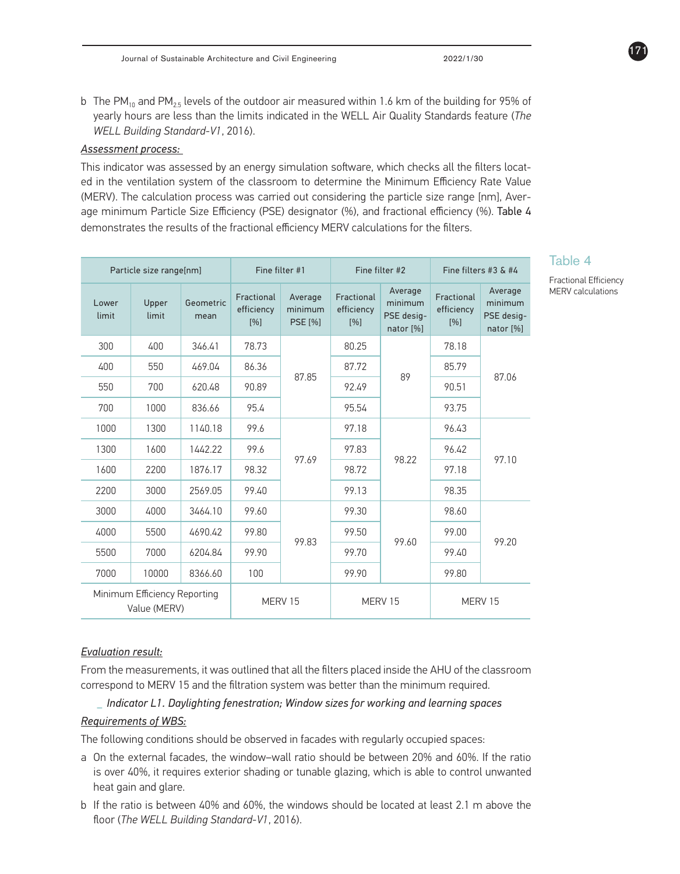b The PM<sub>10</sub> and PM<sub>2.5</sub> levels of the outdoor air measured within 1.6 km of the building for 95% of yearly hours are less than the limits indicated in the WELL Air Quality Standards feature (*The WELL Building Standard-V1*, 2016).

#### *Assessment process:*

This indicator was assessed by an energy simulation software, which checks all the filters located in the ventilation system of the classroom to determine the Minimum Efficiency Rate Value (MERV). The calculation process was carried out considering the particle size range [nm], Average minimum Particle Size Efficiency (PSE) designator (%), and fractional efficiency (%). Table 4 demonstrates the results of the fractional efficiency MERV calculations for the filters.

| Particle size range[nm]                      |                |                   | Fine filter #1                  |                                      | Fine filter #2                  |                                               | Fine filters #3 $&$ #4          |                                               |
|----------------------------------------------|----------------|-------------------|---------------------------------|--------------------------------------|---------------------------------|-----------------------------------------------|---------------------------------|-----------------------------------------------|
| Lower<br>limit                               | Upper<br>limit | Geometric<br>mean | Fractional<br>efficiency<br>[%] | Average<br>minimum<br><b>PSE [%]</b> | Fractional<br>efficiency<br>[%] | Average<br>minimum<br>PSE desig-<br>nator [%] | Fractional<br>efficiency<br>[%] | Average<br>minimum<br>PSE desig-<br>nator [%] |
| 300                                          | 400            | 346.41            | 78.73                           | 87.85                                | 80.25                           | 89                                            | 78.18                           | 87.06                                         |
| 400                                          | 550            | 469.04            | 86.36                           |                                      | 87.72                           |                                               | 85.79                           |                                               |
| 550                                          | 700            | 620.48            | 90.89                           |                                      | 92.49                           |                                               | 90.51                           |                                               |
| 700                                          | 1000           | 836.66            | 95.4                            |                                      | 95.54                           |                                               | 93.75                           |                                               |
| 1000                                         | 1300           | 1140.18           | 99.6                            | 97.69                                | 97.18                           | 98.22                                         | 96.43                           | 97.10                                         |
| 1300                                         | 1600           | 1442.22           | 99.6                            |                                      | 97.83                           |                                               | 96.42                           |                                               |
| 1600                                         | 2200           | 1876.17           | 98.32                           |                                      | 98.72                           |                                               | 97.18                           |                                               |
| 2200                                         | 3000           | 2569.05           | 99.40                           |                                      | 99.13                           |                                               | 98.35                           |                                               |
| 3000                                         | 4000           | 3464.10           | 99.60                           |                                      | 99.30                           |                                               | 98.60                           |                                               |
| 4000                                         | 5500           | 4690.42           | 99.80                           | 99.83                                | 99.50                           | 99.60                                         | 99.00                           | 99.20                                         |
| 5500                                         | 7000           | 6204.84           | 99.90                           |                                      | 99.70                           |                                               | 99.40                           |                                               |
| 7000                                         | 10000          | 8366.60           | 100                             |                                      | 99.90                           |                                               | 99.80                           |                                               |
| Minimum Efficiency Reporting<br>Value (MERV) |                |                   | MERV 15                         |                                      | MERV 15                         |                                               | MERV 15                         |                                               |

### Table 4

Fractional Efficiency MERV calculations

#### *Evaluation result:*

From the measurements, it was outlined that all the filters placed inside the AHU of the classroom correspond to MERV 15 and the filtration system was better than the minimum required.

#### **\_** *Indicator L1. Daylighting fenestration; Window sizes for working and learning spaces Requirements of WBS:*

The following conditions should be observed in facades with regularly occupied spaces:

- a On the external facades, the window–wall ratio should be between 20% and 60%. If the ratio is over 40%, it requires exterior shading or tunable glazing, which is able to control unwanted heat gain and glare.
- b If the ratio is between 40% and 60%, the windows should be located at least 2.1 m above the floor (*The WELL Building Standard-V1*, 2016).

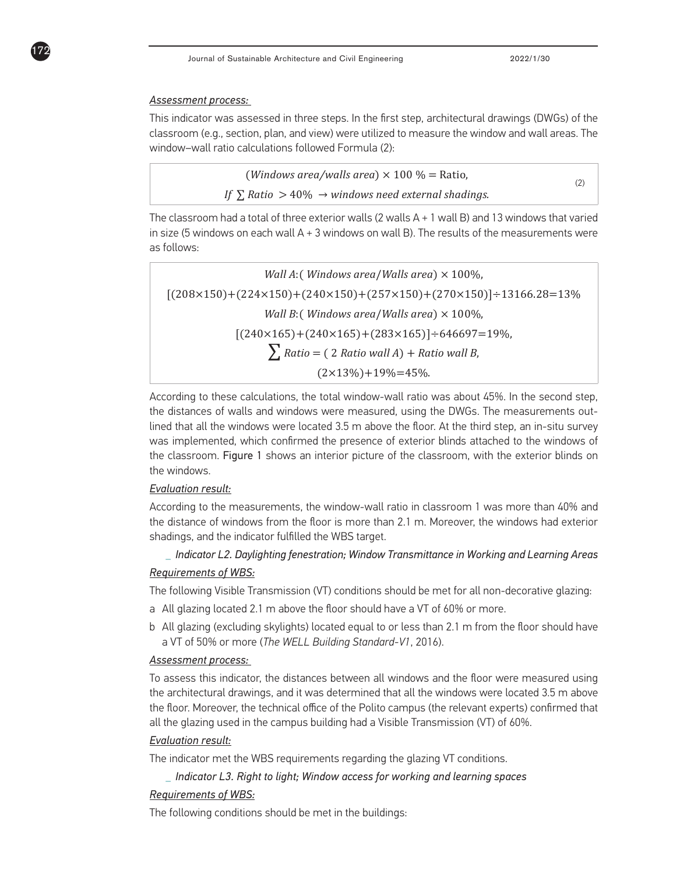#### *Assessment process:*

172

This indicator was assessed in three steps. In the first step, architectural drawings (DWGs) of the classroom (e.g., section, plan, and view) were utilized to measure the window and wall areas. The window–wall ratio calculations followed Formula (2):

| ( <i>Windows area/walls area</i> ) $\times$ 100 % = Ratio,             |  |
|------------------------------------------------------------------------|--|
| If $\Sigma$ Ratio $> 40\% \rightarrow$ windows need external shadings. |  |

The classroom had a total of three exterior walls  $(2 \text{ walls A} + 1 \text{ wall B})$  and 13 windows that varied in size (5 windows on each wall  $A + 3$  windows on wall B). The results of the measurements were as follows:

*Wall A*:( *Windows area*/*Walls area*) × 100%,  $[(208\times150)+(224\times150)+(240\times150)+(257\times150)+(270\times150)]\div13166.28=13\%$ *Wall B*:( *Windows area*/*Walls area*) × 100%,  $[(240\times165)+(240\times165)+(283\times165)]\div646697=19\%,$  $\sum$  *Ratio* = (2 *Ratio wall A*) + *Ratio wall B*,  $(2\times13\%) + 19\% = 45\%$ 

According to these calculations, the total window-wall ratio was about 45%. In the second step, the distances of walls and windows were measured, using the DWGs. The measurements outlined that all the windows were located 3.5 m above the floor. At the third step, an in-situ survey was implemented, which confirmed the presence of exterior blinds attached to the windows of the classroom. Figure 1 shows an interior picture of the classroom, with the exterior blinds on the windows.

#### *Evaluation result:*

According to the measurements, the window-wall ratio in classroom 1 was more than 40% and the distance of windows from the floor is more than 2.1 m. Moreover, the windows had exterior shadings, and the indicator fulfilled the WBS target.

**\_** *Indicator L2. Daylighting fenestration; Window Transmittance in Working and Learning Areas*

#### *Requirements of WBS:*

The following Visible Transmission (VT) conditions should be met for all non-decorative glazing:

- a All glazing located 2.1 m above the floor should have a VT of 60% or more.
- b All glazing (excluding skylights) located equal to or less than 2.1 m from the floor should have a VT of 50% or more (*The WELL Building Standard-V1*, 2016).

#### *Assessment process:*

To assess this indicator, the distances between all windows and the floor were measured using the architectural drawings, and it was determined that all the windows were located 3.5 m above the floor. Moreover, the technical office of the Polito campus (the relevant experts) confirmed that all the glazing used in the campus building had a Visible Transmission (VT) of 60%.

#### *Evaluation result:*

The indicator met the WBS requirements regarding the glazing VT conditions.

#### **\_** *Indicator L3. Right to light; Window access for working and learning spaces*

#### *Requirements of WBS:*

The following conditions should be met in the buildings: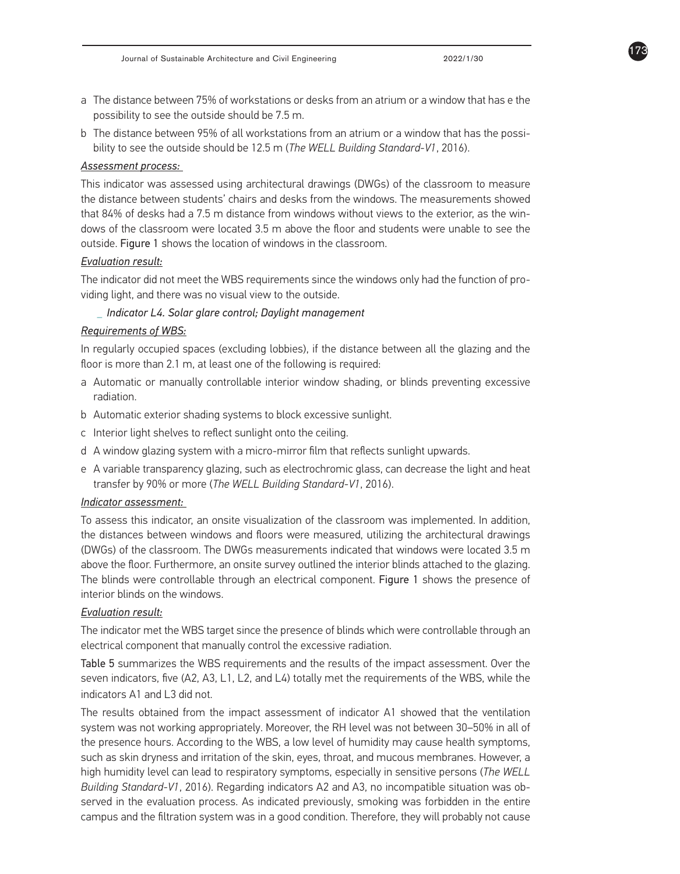- a The distance between 75% of workstations or desks from an atrium or a window that has e the possibility to see the outside should be 7.5 m.
- b The distance between 95% of all workstations from an atrium or a window that has the possibility to see the outside should be 12.5 m (*The WELL Building Standard-V1*, 2016).

#### *Assessment process:*

This indicator was assessed using architectural drawings (DWGs) of the classroom to measure the distance between students' chairs and desks from the windows. The measurements showed that 84% of desks had a 7.5 m distance from windows without views to the exterior, as the windows of the classroom were located 3.5 m above the floor and students were unable to see the outside. Figure 1 shows the location of windows in the classroom.

#### *Evaluation result:*

The indicator did not meet the WBS requirements since the windows only had the function of providing light, and there was no visual view to the outside.

#### **\_** *Indicator L4. Solar glare control; Daylight management*

#### *Requirements of WBS:*

In regularly occupied spaces (excluding lobbies), if the distance between all the glazing and the floor is more than 2.1 m, at least one of the following is required:

- a Automatic or manually controllable interior window shading, or blinds preventing excessive radiation.
- b Automatic exterior shading systems to block excessive sunlight.
- c Interior light shelves to reflect sunlight onto the ceiling.
- d A window glazing system with a micro-mirror film that reflects sunlight upwards.
- e A variable transparency glazing, such as electrochromic glass, can decrease the light and heat transfer by 90% or more (*The WELL Building Standard-V1*, 2016).

#### *Indicator assessment:*

To assess this indicator, an onsite visualization of the classroom was implemented. In addition, the distances between windows and floors were measured, utilizing the architectural drawings (DWGs) of the classroom. The DWGs measurements indicated that windows were located 3.5 m above the floor. Furthermore, an onsite survey outlined the interior blinds attached to the glazing. The blinds were controllable through an electrical component. Figure 1 shows the presence of interior blinds on the windows.

#### *Evaluation result:*

The indicator met the WBS target since the presence of blinds which were controllable through an electrical component that manually control the excessive radiation.

Table 5 summarizes the WBS requirements and the results of the impact assessment. Over the seven indicators, five (A2, A3, L1, L2, and L4) totally met the requirements of the WBS, while the indicators A1 and L3 did not.

The results obtained from the impact assessment of indicator A1 showed that the ventilation system was not working appropriately. Moreover, the RH level was not between 30–50% in all of the presence hours. According to the WBS, a low level of humidity may cause health symptoms, such as skin dryness and irritation of the skin, eyes, throat, and mucous membranes. However, a high humidity level can lead to respiratory symptoms, especially in sensitive persons (*The WELL Building Standard-V1*, 2016). Regarding indicators A2 and A3, no incompatible situation was observed in the evaluation process. As indicated previously, smoking was forbidden in the entire campus and the filtration system was in a good condition. Therefore, they will probably not cause

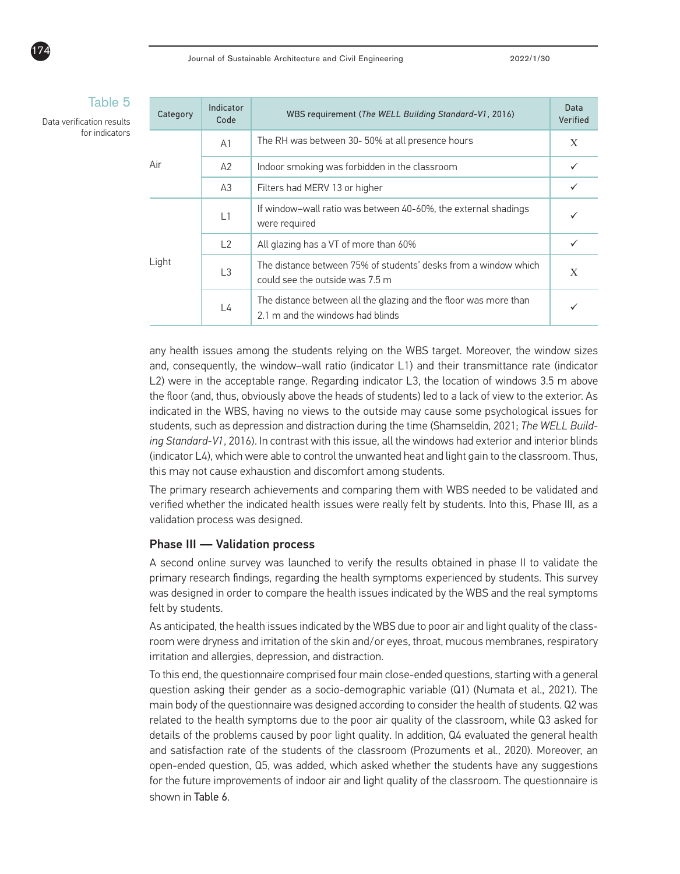|  | Category | Indicator<br>Code | WBS requirement (The WELL Building Standard-V1, 2016)                                                | Data<br>Verified |
|--|----------|-------------------|------------------------------------------------------------------------------------------------------|------------------|
|  | Air      | A <sub>1</sub>    | The RH was between 30- 50% at all presence hours                                                     | X                |
|  |          | A2                | Indoor smoking was forbidden in the classroom                                                        |                  |
|  |          | A3                | Filters had MERV 13 or higher                                                                        |                  |
|  |          | L1                | If window-wall ratio was between 40-60%, the external shadings<br>were required                      |                  |
|  |          | L2                | All glazing has a VT of more than 60%                                                                |                  |
|  | Light    | L3                | The distance between 75% of students' desks from a window which<br>could see the outside was 7.5 m   | X                |
|  |          | L4                | The distance between all the glazing and the floor was more than<br>2.1 m and the windows had blinds |                  |

any health issues among the students relying on the WBS target. Moreover, the window sizes and, consequently, the window–wall ratio (indicator L1) and their transmittance rate (indicator L2) were in the acceptable range. Regarding indicator L3, the location of windows 3.5 m above the floor (and, thus, obviously above the heads of students) led to a lack of view to the exterior. As indicated in the WBS, having no views to the outside may cause some psychological issues for students, such as depression and distraction during the time (Shamseldin, 2021; *The WELL Building Standard-V1*, 2016). In contrast with this issue, all the windows had exterior and interior blinds (indicator L4), which were able to control the unwanted heat and light gain to the classroom. Thus, this may not cause exhaustion and discomfort among students.

The primary research achievements and comparing them with WBS needed to be validated and verified whether the indicated health issues were really felt by students. Into this, Phase III, as a validation process was designed.

#### Phase III — Validation process

A second online survey was launched to verify the results obtained in phase II to validate the primary research findings, regarding the health symptoms experienced by students. This survey was designed in order to compare the health issues indicated by the WBS and the real symptoms felt by students.

As anticipated, the health issues indicated by the WBS due to poor air and light quality of the classroom were dryness and irritation of the skin and/or eyes, throat, mucous membranes, respiratory irritation and allergies, depression, and distraction.

To this end, the questionnaire comprised four main close-ended questions, starting with a general question asking their gender as a socio-demographic variable (Q1) (Numata et al., 2021). The main body of the questionnaire was designed according to consider the health of students. Q2 was related to the health symptoms due to the poor air quality of the classroom, while Q3 asked for details of the problems caused by poor light quality. In addition, Q4 evaluated the general health and satisfaction rate of the students of the classroom (Prozuments et al., 2020). Moreover, an open-ended question, Q5, was added, which asked whether the students have any suggestions for the future improvements of indoor air and light quality of the classroom. The questionnaire is shown in Table 6.

Table 5

Data verification results for indicators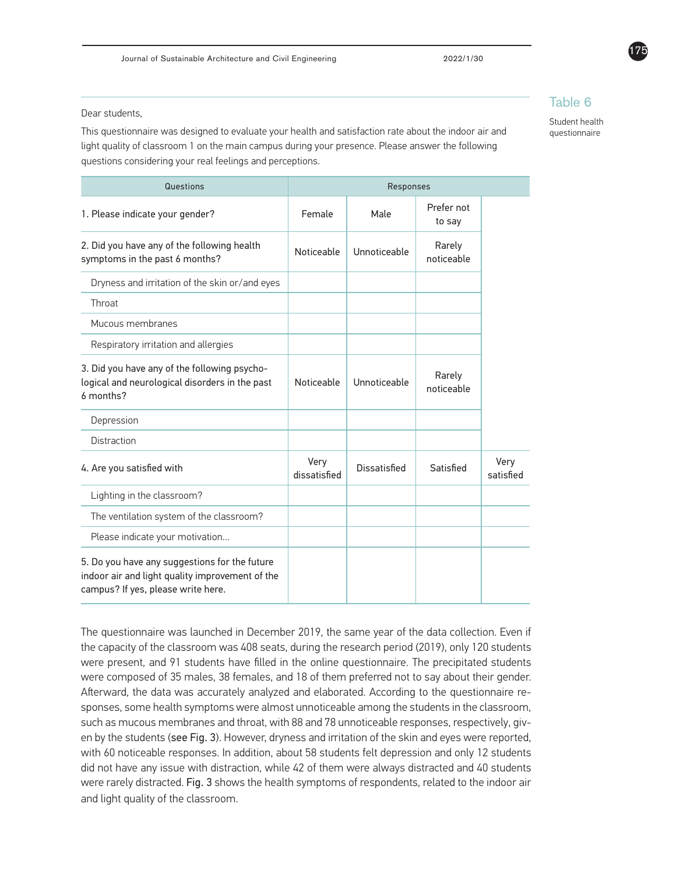Dear students,

This questionnaire was designed to evaluate your health and satisfaction rate about the indoor air and light quality of classroom 1 on the main campus during your presence. Please answer the following questions considering your real feelings and perceptions.

| Questions                                                                                                                              | Responses            |                     |                      |                   |
|----------------------------------------------------------------------------------------------------------------------------------------|----------------------|---------------------|----------------------|-------------------|
| 1. Please indicate your gender?                                                                                                        | Female               | Male                | Prefer not<br>to say |                   |
| 2. Did you have any of the following health<br>symptoms in the past 6 months?                                                          | Noticeable           | Unnoticeable        | Rarely<br>noticeable |                   |
| Dryness and irritation of the skin or/and eyes                                                                                         |                      |                     |                      |                   |
| Throat                                                                                                                                 |                      |                     |                      |                   |
| Mucous membranes                                                                                                                       |                      |                     |                      |                   |
| Respiratory irritation and allergies                                                                                                   |                      |                     |                      |                   |
| 3. Did you have any of the following psycho-<br>logical and neurological disorders in the past<br>6 months?                            | Noticeable           | Unnoticeable        | Rarely<br>noticeable |                   |
| Depression                                                                                                                             |                      |                     |                      |                   |
| <b>Distraction</b>                                                                                                                     |                      |                     |                      |                   |
| 4. Are you satisfied with                                                                                                              | Very<br>dissatisfied | <b>Dissatisfied</b> | Satisfied            | Very<br>satisfied |
| Lighting in the classroom?                                                                                                             |                      |                     |                      |                   |
| The ventilation system of the classroom?                                                                                               |                      |                     |                      |                   |
| Please indicate your motivation                                                                                                        |                      |                     |                      |                   |
| 5. Do you have any suggestions for the future<br>indoor air and light quality improvement of the<br>campus? If yes, please write here. |                      |                     |                      |                   |

The questionnaire was launched in December 2019, the same year of the data collection. Even if the capacity of the classroom was 408 seats, during the research period (2019), only 120 students were present, and 91 students have filled in the online questionnaire. The precipitated students were composed of 35 males, 38 females, and 18 of them preferred not to say about their gender. Afterward, the data was accurately analyzed and elaborated. According to the questionnaire responses, some health symptoms were almost unnoticeable among the students in the classroom, such as mucous membranes and throat, with 88 and 78 unnoticeable responses, respectively, given by the students (see Fig. 3). However, dryness and irritation of the skin and eyes were reported, with 60 noticeable responses. In addition, about 58 students felt depression and only 12 students did not have any issue with distraction, while 42 of them were always distracted and 40 students were rarely distracted. Fig. 3 shows the health symptoms of respondents, related to the indoor air and light quality of the classroom.



Student health questionnaire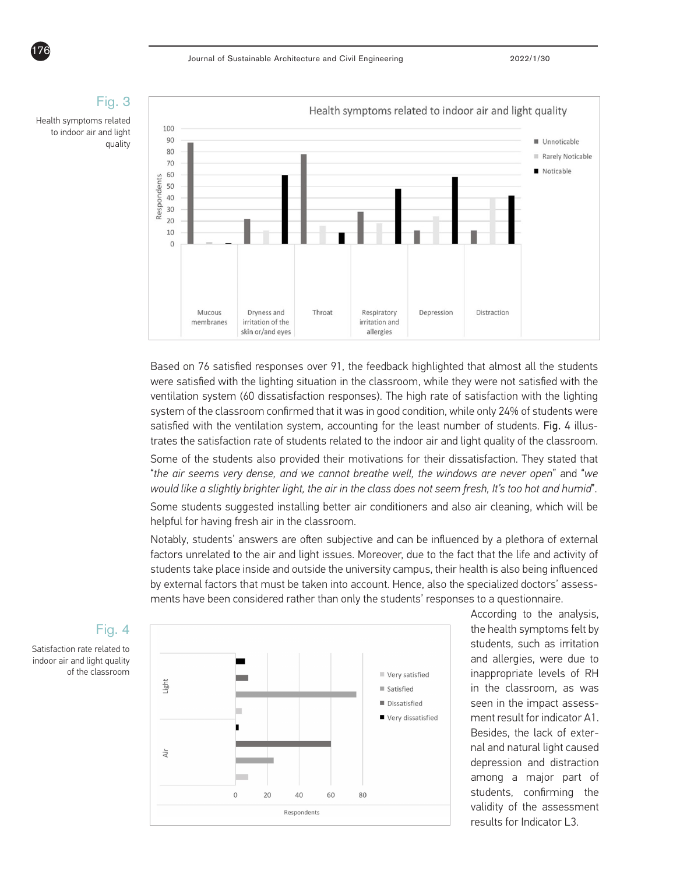

Based on 76 satisfied responses over 91, the feedback highlighted that almost all the students were satisfied with the lighting situation in the classroom, while they were not satisfied with the ventilation system (60 dissatisfaction responses). The high rate of satisfaction with the lighting system of the classroom confirmed that it was in good condition, while only 24% of students were satisfied with the ventilation system, accounting for the least number of students. Fig. 4 illustrates the satisfaction rate of students related to the indoor air and light quality of the classroom.

Some of the students also provided their motivations for their dissatisfaction. They stated that "*the air seems very dense, and we cannot breathe well, the windows are never open*" and "*we would like a slightly brighter light, the air in the class does not seem fresh, It's too hot and humid*".

Some students suggested installing better air conditioners and also air cleaning, which will be helpful for having fresh air in the classroom.

Notably, students' answers are often subjective and can be influenced by a plethora of external factors unrelated to the air and light issues. Moreover, due to the fact that the life and activity of students take place inside and outside the university campus, their health is also being influenced by external factors that must be taken into account. Hence, also the specialized doctors' assessments have been considered rather than only the students' responses to a questionnaire.



According to the analysis, the health symptoms felt by students, such as irritation and allergies, were due to inappropriate levels of RH in the classroom, as was seen in the impact assessment result for indicator A1. Besides, the lack of external and natural light caused depression and distraction among a major part of students, confirming the validity of the assessment results for Indicator L3.

### Fig. 4

Satisfaction rate related to indoor air and light quality of the classroom

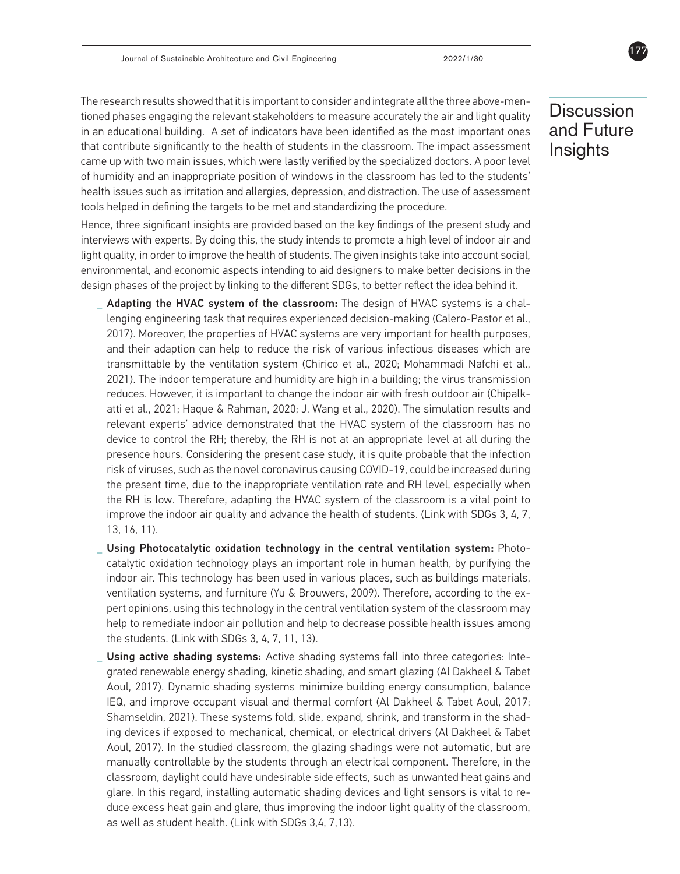The research results showed that it is important to consider and integrate all the three above-mentioned phases engaging the relevant stakeholders to measure accurately the air and light quality in an educational building. A set of indicators have been identified as the most important ones that contribute significantly to the health of students in the classroom. The impact assessment came up with two main issues, which were lastly verified by the specialized doctors. A poor level of humidity and an inappropriate position of windows in the classroom has led to the students' health issues such as irritation and allergies, depression, and distraction. The use of assessment tools helped in defining the targets to be met and standardizing the procedure.

Hence, three significant insights are provided based on the key findings of the present study and interviews with experts. By doing this, the study intends to promote a high level of indoor air and light quality, in order to improve the health of students. The given insights take into account social, environmental, and economic aspects intending to aid designers to make better decisions in the design phases of the project by linking to the different SDGs, to better reflect the idea behind it.

- **\_** Adapting the HVAC system of the classroom: The design of HVAC systems is a challenging engineering task that requires experienced decision-making (Calero-Pastor et al., 2017). Moreover, the properties of HVAC systems are very important for health purposes, and their adaption can help to reduce the risk of various infectious diseases which are transmittable by the ventilation system (Chirico et al., 2020; Mohammadi Nafchi et al., 2021). The indoor temperature and humidity are high in a building; the virus transmission reduces. However, it is important to change the indoor air with fresh outdoor air (Chipalkatti et al., 2021; Haque & Rahman, 2020; J. Wang et al., 2020). The simulation results and relevant experts' advice demonstrated that the HVAC system of the classroom has no device to control the RH; thereby, the RH is not at an appropriate level at all during the presence hours. Considering the present case study, it is quite probable that the infection risk of viruses, such as the novel coronavirus causing COVID-19, could be increased during the present time, due to the inappropriate ventilation rate and RH level, especially when the RH is low. Therefore, adapting the HVAC system of the classroom is a vital point to improve the indoor air quality and advance the health of students. (Link with SDGs 3, 4, 7, 13, 16, 11).
- Using Photocatalytic oxidation technology in the central ventilation system: Photocatalytic oxidation technology plays an important role in human health, by purifying the indoor air. This technology has been used in various places, such as buildings materials, ventilation systems, and furniture (Yu & Brouwers, 2009). Therefore, according to the expert opinions, using this technology in the central ventilation system of the classroom may help to remediate indoor air pollution and help to decrease possible health issues among the students. (Link with SDGs 3, 4, 7, 11, 13).
- **\_** Using active shading systems: Active shading systems fall into three categories: Integrated renewable energy shading, kinetic shading, and smart glazing (Al Dakheel & Tabet Aoul, 2017). Dynamic shading systems minimize building energy consumption, balance IEQ, and improve occupant visual and thermal comfort (Al Dakheel & Tabet Aoul, 2017; Shamseldin, 2021). These systems fold, slide, expand, shrink, and transform in the shading devices if exposed to mechanical, chemical, or electrical drivers (Al Dakheel & Tabet Aoul, 2017). In the studied classroom, the glazing shadings were not automatic, but are manually controllable by the students through an electrical component. Therefore, in the classroom, daylight could have undesirable side effects, such as unwanted heat gains and glare. In this regard, installing automatic shading devices and light sensors is vital to reduce excess heat gain and glare, thus improving the indoor light quality of the classroom, as well as student health. (Link with SDGs 3,4, 7,13).

**Discussion** and Future **Insights**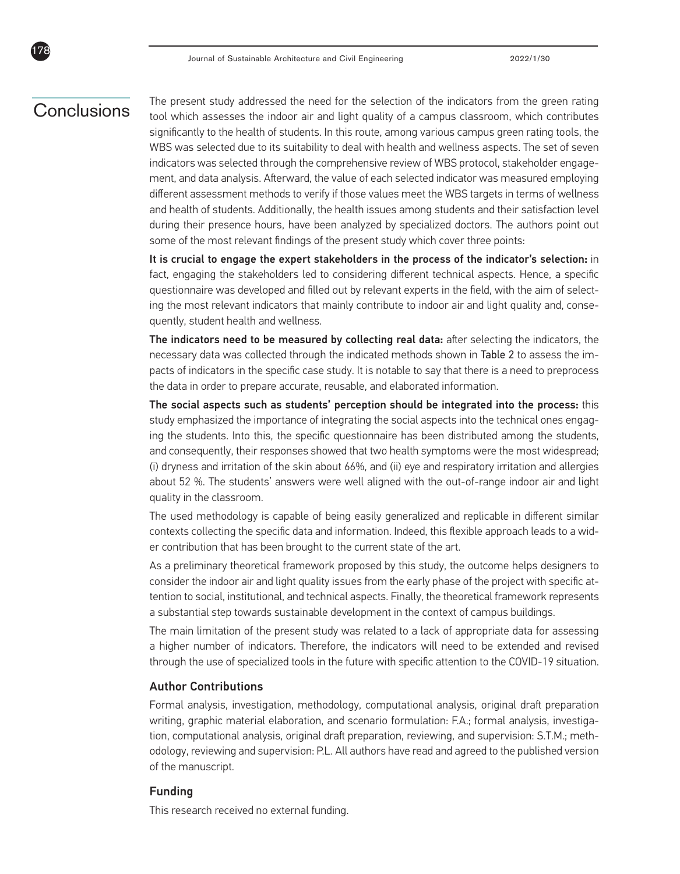## **Conclusions**

178

The present study addressed the need for the selection of the indicators from the green rating tool which assesses the indoor air and light quality of a campus classroom, which contributes significantly to the health of students. In this route, among various campus green rating tools, the WBS was selected due to its suitability to deal with health and wellness aspects. The set of seven indicators was selected through the comprehensive review of WBS protocol, stakeholder engagement, and data analysis. Afterward, the value of each selected indicator was measured employing different assessment methods to verify if those values meet the WBS targets in terms of wellness and health of students. Additionally, the health issues among students and their satisfaction level during their presence hours, have been analyzed by specialized doctors. The authors point out some of the most relevant findings of the present study which cover three points:

It is crucial to engage the expert stakeholders in the process of the indicator's selection: in fact, engaging the stakeholders led to considering different technical aspects. Hence, a specific questionnaire was developed and filled out by relevant experts in the field, with the aim of selecting the most relevant indicators that mainly contribute to indoor air and light quality and, consequently, student health and wellness.

The indicators need to be measured by collecting real data: after selecting the indicators, the necessary data was collected through the indicated methods shown in Table 2 to assess the impacts of indicators in the specific case study. It is notable to say that there is a need to preprocess the data in order to prepare accurate, reusable, and elaborated information.

The social aspects such as students' perception should be integrated into the process: this study emphasized the importance of integrating the social aspects into the technical ones engaging the students. Into this, the specific questionnaire has been distributed among the students, and consequently, their responses showed that two health symptoms were the most widespread; (i) dryness and irritation of the skin about 66%, and (ii) eye and respiratory irritation and allergies about 52 %. The students' answers were well aligned with the out-of-range indoor air and light quality in the classroom.

The used methodology is capable of being easily generalized and replicable in different similar contexts collecting the specific data and information. Indeed, this flexible approach leads to a wider contribution that has been brought to the current state of the art.

As a preliminary theoretical framework proposed by this study, the outcome helps designers to consider the indoor air and light quality issues from the early phase of the project with specific attention to social, institutional, and technical aspects. Finally, the theoretical framework represents a substantial step towards sustainable development in the context of campus buildings.

The main limitation of the present study was related to a lack of appropriate data for assessing a higher number of indicators. Therefore, the indicators will need to be extended and revised through the use of specialized tools in the future with specific attention to the COVID-19 situation.

#### Author Contributions

Formal analysis, investigation, methodology, computational analysis, original draft preparation writing, graphic material elaboration, and scenario formulation: F.A.; formal analysis, investigation, computational analysis, original draft preparation, reviewing, and supervision: S.T.M.; methodology, reviewing and supervision: P.L. All authors have read and agreed to the published version of the manuscript.

#### Funding

This research received no external funding.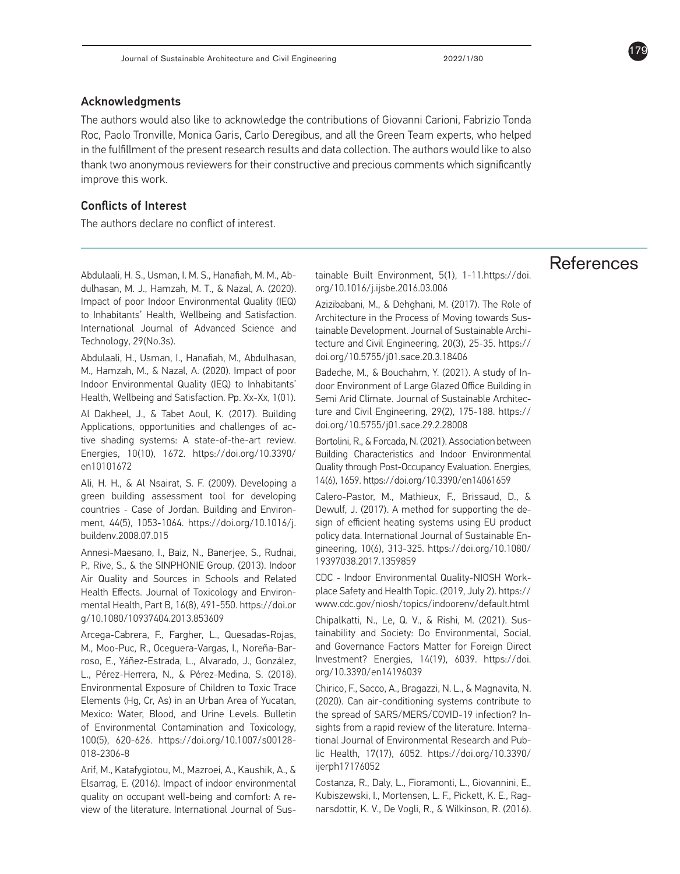#### Acknowledgments

The authors would also like to acknowledge the contributions of Giovanni Carioni, Fabrizio Tonda Roc, Paolo Tronville, Monica Garis, Carlo Deregibus, and all the Green Team experts, who helped in the fulfillment of the present research results and data collection. The authors would like to also thank two anonymous reviewers for their constructive and precious comments which significantly improve this work.

#### Conflicts of Interest

The authors declare no conflict of interest.

Abdulaali, H. S., Usman, I. M. S., Hanafiah, M. M., Abdulhasan, M. J., Hamzah, M. T., & Nazal, A. (2020). Impact of poor Indoor Environmental Quality (IEQ) to Inhabitants' Health, Wellbeing and Satisfaction. International Journal of Advanced Science and Technology, 29(No.3s).

Abdulaali, H., Usman, I., Hanafiah, M., Abdulhasan, M., Hamzah, M., & Nazal, A. (2020). Impact of poor Indoor Environmental Quality (IEQ) to Inhabitants' Health, Wellbeing and Satisfaction. Pp. Xx-Xx, 1(01).

Al Dakheel, J., & Tabet Aoul, K. (2017). Building Applications, opportunities and challenges of active shading systems: A state-of-the-art review. Energies, 10(10), 1672. https://doi.org/10.3390/ en10101672

Ali, H. H., & Al Nsairat, S. F. (2009). Developing a green building assessment tool for developing countries - Case of Jordan. Building and Environment, 44(5), 1053-1064. https://doi.org/10.1016/j. buildenv.2008.07.015

Annesi-Maesano, I., Baiz, N., Banerjee, S., Rudnai, P., Rive, S., & the SINPHONIE Group. (2013). Indoor Air Quality and Sources in Schools and Related Health Effects. Journal of Toxicology and Environmental Health, Part B, 16(8), 491-550. https://doi.or g/10.1080/10937404.2013.853609

Arcega-Cabrera, F., Fargher, L., Quesadas-Rojas, M., Moo-Puc, R., Oceguera-Vargas, I., Noreña-Barroso, E., Yáñez-Estrada, L., Alvarado, J., González, L., Pérez-Herrera, N., & Pérez-Medina, S. (2018). Environmental Exposure of Children to Toxic Trace Elements (Hg, Cr, As) in an Urban Area of Yucatan, Mexico: Water, Blood, and Urine Levels. Bulletin of Environmental Contamination and Toxicology, 100(5), 620-626. https://doi.org/10.1007/s00128- 018-2306-8

Arif, M., Katafygiotou, M., Mazroei, A., Kaushik, A., & Elsarrag, E. (2016). Impact of indoor environmental quality on occupant well-being and comfort: A review of the literature. International Journal of Sustainable Built Environment, 5(1), 1-11.https://doi. org/10.1016/j.ijsbe.2016.03.006

Azizibabani, M., & Dehghani, M. (2017). The Role of Architecture in the Process of Moving towards Sustainable Development. Journal of Sustainable Architecture and Civil Engineering, 20(3), 25-35. https:// doi.org/10.5755/j01.sace.20.3.18406

Badeche, M., & Bouchahm, Y. (2021). A study of Indoor Environment of Large Glazed Office Building in Semi Arid Climate. Journal of Sustainable Architecture and Civil Engineering, 29(2), 175-188. https:// doi.org/10.5755/j01.sace.29.2.28008

Bortolini, R., & Forcada, N. (2021). Association between Building Characteristics and Indoor Environmental Quality through Post-Occupancy Evaluation. Energies, 14(6), 1659. https://doi.org/10.3390/en14061659

Calero-Pastor, M., Mathieux, F., Brissaud, D., & Dewulf, J. (2017). A method for supporting the design of efficient heating systems using EU product policy data. International Journal of Sustainable Engineering, 10(6), 313-325. https://doi.org/10.1080/ 19397038.2017.1359859

CDC - Indoor Environmental Quality-NIOSH Workplace Safety and Health Topic. (2019, July 2). https:// www.cdc.gov/niosh/topics/indoorenv/default.html

Chipalkatti, N., Le, Q. V., & Rishi, M. (2021). Sustainability and Society: Do Environmental, Social, and Governance Factors Matter for Foreign Direct Investment? Energies, 14(19), 6039. https://doi. org/10.3390/en14196039

Chirico, F., Sacco, A., Bragazzi, N. L., & Magnavita, N. (2020). Can air-conditioning systems contribute to the spread of SARS/MERS/COVID-19 infection? Insights from a rapid review of the literature. International Journal of Environmental Research and Public Health, 17(17), 6052. https://doi.org/10.3390/ ijerph17176052

Costanza, R., Daly, L., Fioramonti, L., Giovannini, E., Kubiszewski, I., Mortensen, L. F., Pickett, K. E., Ragnarsdottir, K. V., De Vogli, R., & Wilkinson, R. (2016).

## References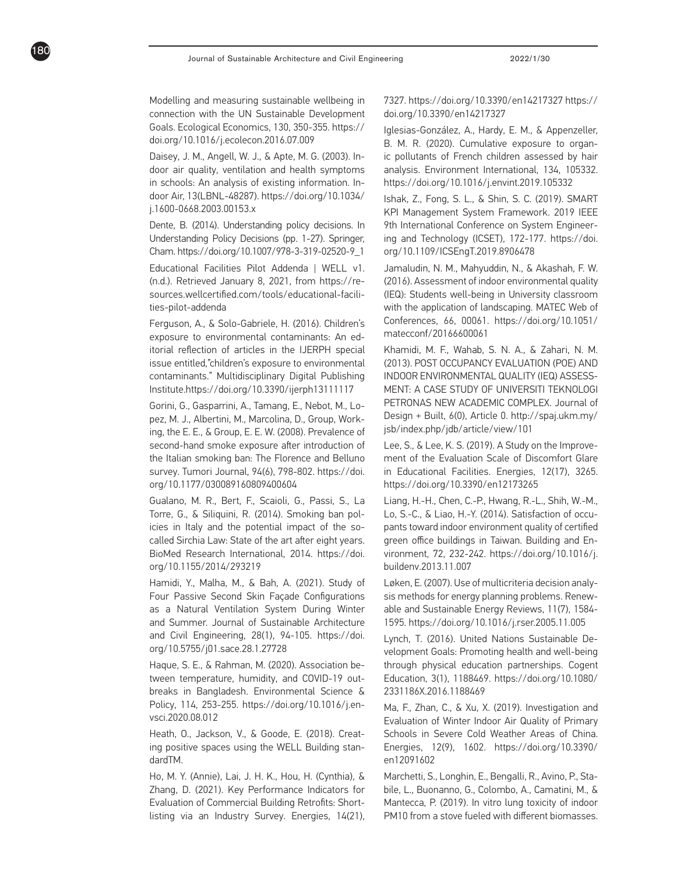Modelling and measuring sustainable wellbeing in connection with the UN Sustainable Development Goals. Ecological Economics, 130, 350-355. https:// doi.org/10.1016/j.ecolecon.2016.07.009

180

Daisey, J. M., Angell, W. J., & Apte, M. G. (2003). Indoor air quality, ventilation and health symptoms in schools: An analysis of existing information. Indoor Air, 13(LBNL-48287). https://doi.org/10.1034/ j.1600-0668.2003.00153.x

Dente, B. (2014). Understanding policy decisions. In Understanding Policy Decisions (pp. 1-27). Springer, Cham. https://doi.org/10.1007/978-3-319-02520-9\_1

Educational Facilities Pilot Addenda | WELL v1. (n.d.). Retrieved January 8, 2021, from https://resources.wellcertified.com/tools/educational-facilities-pilot-addenda

Ferguson, A., & Solo-Gabriele, H. (2016). Children's exposure to environmental contaminants: An editorial reflection of articles in the IJERPH special issue entitled,"children's exposure to environmental contaminants." Multidisciplinary Digital Publishing Institute.https://doi.org/10.3390/ijerph13111117

Gorini, G., Gasparrini, A., Tamang, E., Nebot, M., Lopez, M. J., Albertini, M., Marcolina, D., Group, Working, the E. E., & Group, E. E. W. (2008). Prevalence of second-hand smoke exposure after introduction of the Italian smoking ban: The Florence and Belluno survey. Tumori Journal, 94(6), 798-802. https://doi. org/10.1177/030089160809400604

Gualano, M. R., Bert, F., Scaioli, G., Passi, S., La Torre, G., & Siliquini, R. (2014). Smoking ban policies in Italy and the potential impact of the socalled Sirchia Law: State of the art after eight years. BioMed Research International, 2014. https://doi. org/10.1155/2014/293219

Hamidi, Y., Malha, M., & Bah, A. (2021). Study of Four Passive Second Skin Façade Configurations as a Natural Ventilation System During Winter and Summer. Journal of Sustainable Architecture and Civil Engineering, 28(1), 94-105. https://doi. org/10.5755/j01.sace.28.1.27728

Haque, S. E., & Rahman, M. (2020). Association between temperature, humidity, and COVID-19 outbreaks in Bangladesh. Environmental Science & Policy, 114, 253-255. https://doi.org/10.1016/j.envsci.2020.08.012

Heath, O., Jackson, V., & Goode, E. (2018). Creating positive spaces using the WELL Building standardTM.

Ho, M. Y. (Annie), Lai, J. H. K., Hou, H. (Cynthia), & Zhang, D. (2021). Key Performance Indicators for Evaluation of Commercial Building Retrofits: Shortlisting via an Industry Survey. Energies, 14(21),

7327. https://doi.org/10.3390/en14217327 https:// doi.org/10.3390/en14217327

Iglesias-González, A., Hardy, E. M., & Appenzeller, B. M. R. (2020). Cumulative exposure to organic pollutants of French children assessed by hair analysis. Environment International, 134, 105332. https://doi.org/10.1016/j.envint.2019.105332

Ishak, Z., Fong, S. L., & Shin, S. C. (2019). SMART KPI Management System Framework. 2019 IEEE 9th International Conference on System Engineering and Technology (ICSET), 172-177. https://doi. org/10.1109/ICSEngT.2019.8906478

Jamaludin, N. M., Mahyuddin, N., & Akashah, F. W. (2016). Assessment of indoor environmental quality (IEQ): Students well-being in University classroom with the application of landscaping. MATEC Web of Conferences, 66, 00061. https://doi.org/10.1051/ matecconf/20166600061

Khamidi, M. F., Wahab, S. N. A., & Zahari, N. M. (2013). POST OCCUPANCY EVALUATION (POE) AND INDOOR ENVIRONMENTAL QUALITY (IEQ) ASSESS-MENT: A CASE STUDY OF UNIVERSITI TEKNOLOGI PETRONAS NEW ACADEMIC COMPLEX. Journal of Design + Built, 6(0), Article 0. http://spaj.ukm.my/ jsb/index.php/jdb/article/view/101

Lee, S., & Lee, K. S. (2019). A Study on the Improvement of the Evaluation Scale of Discomfort Glare in Educational Facilities. Energies, 12(17), 3265. https://doi.org/10.3390/en12173265

Liang, H.-H., Chen, C.-P., Hwang, R.-L., Shih, W.-M., Lo, S.-C., & Liao, H.-Y. (2014). Satisfaction of occupants toward indoor environment quality of certified green office buildings in Taiwan. Building and Environment, 72, 232-242. https://doi.org/10.1016/j. buildenv.2013.11.007

Løken, E. (2007). Use of multicriteria decision analysis methods for energy planning problems. Renewable and Sustainable Energy Reviews, 11(7), 1584- 1595. https://doi.org/10.1016/j.rser.2005.11.005

Lynch, T. (2016). United Nations Sustainable Development Goals: Promoting health and well-being through physical education partnerships. Cogent Education, 3(1), 1188469. https://doi.org/10.1080/ 2331186X.2016.1188469

Ma, F., Zhan, C., & Xu, X. (2019). Investigation and Evaluation of Winter Indoor Air Quality of Primary Schools in Severe Cold Weather Areas of China. Energies, 12(9), 1602. https://doi.org/10.3390/ en12091602

Marchetti, S., Longhin, E., Bengalli, R., Avino, P., Stabile, L., Buonanno, G., Colombo, A., Camatini, M., & Mantecca, P. (2019). In vitro lung toxicity of indoor PM10 from a stove fueled with different biomasses.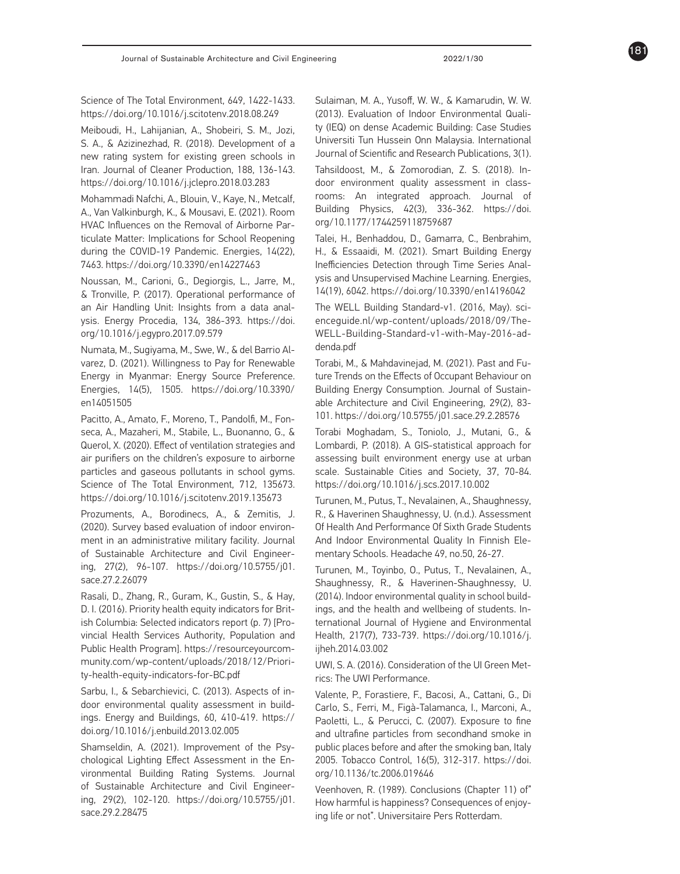Science of The Total Environment, 649, 1422-1433. https://doi.org/10.1016/j.scitotenv.2018.08.249

Meiboudi, H., Lahijanian, A., Shobeiri, S. M., Jozi, S. A., & Azizinezhad, R. (2018). Development of a new rating system for existing green schools in Iran. Journal of Cleaner Production, 188, 136-143. https://doi.org/10.1016/j.jclepro.2018.03.283

Mohammadi Nafchi, A., Blouin, V., Kaye, N., Metcalf, A., Van Valkinburgh, K., & Mousavi, E. (2021). Room HVAC Influences on the Removal of Airborne Particulate Matter: Implications for School Reopening during the COVID-19 Pandemic. Energies, 14(22), 7463. https://doi.org/10.3390/en14227463

Noussan, M., Carioni, G., Degiorgis, L., Jarre, M., & Tronville, P. (2017). Operational performance of an Air Handling Unit: Insights from a data analysis. Energy Procedia, 134, 386-393. https://doi. org/10.1016/j.egypro.2017.09.579

Numata, M., Sugiyama, M., Swe, W., & del Barrio Alvarez, D. (2021). Willingness to Pay for Renewable Energy in Myanmar: Energy Source Preference. Energies, 14(5), 1505. https://doi.org/10.3390/ en14051505

Pacitto, A., Amato, F., Moreno, T., Pandolfi, M., Fonseca, A., Mazaheri, M., Stabile, L., Buonanno, G., & Querol, X. (2020). Effect of ventilation strategies and air purifiers on the children's exposure to airborne particles and gaseous pollutants in school gyms. Science of The Total Environment, 712, 135673. https://doi.org/10.1016/j.scitotenv.2019.135673

Prozuments, A., Borodinecs, A., & Zemitis, J. (2020). Survey based evaluation of indoor environment in an administrative military facility. Journal of Sustainable Architecture and Civil Engineering, 27(2), 96-107. https://doi.org/10.5755/j01. sace.27.2.26079

Rasali, D., Zhang, R., Guram, K., Gustin, S., & Hay, D. I. (2016). Priority health equity indicators for British Columbia: Selected indicators report (p. 7) [Provincial Health Services Authority, Population and Public Health Program]. https://resourceyourcommunity.com/wp-content/uploads/2018/12/Priority-health-equity-indicators-for-BC.pdf

Sarbu, I., & Sebarchievici, C. (2013). Aspects of indoor environmental quality assessment in buildings. Energy and Buildings, 60, 410-419. https:// doi.org/10.1016/j.enbuild.2013.02.005

Shamseldin, A. (2021). Improvement of the Psychological Lighting Effect Assessment in the Environmental Building Rating Systems. Journal of Sustainable Architecture and Civil Engineering, 29(2), 102-120. https://doi.org/10.5755/j01. sace.29.2.28475

Sulaiman, M. A., Yusoff, W. W., & Kamarudin, W. W. (2013). Evaluation of Indoor Environmental Quality (IEQ) on dense Academic Building: Case Studies Universiti Tun Hussein Onn Malaysia. International Journal of Scientific and Research Publications, 3(1).

Tahsildoost, M., & Zomorodian, Z. S. (2018). Indoor environment quality assessment in classrooms: An integrated approach. Journal of Building Physics, 42(3), 336-362. https://doi. org/10.1177/1744259118759687

Talei, H., Benhaddou, D., Gamarra, C., Benbrahim, H., & Essaaidi, M. (2021). Smart Building Energy Inefficiencies Detection through Time Series Analysis and Unsupervised Machine Learning. Energies, 14(19), 6042. https://doi.org/10.3390/en14196042

The WELL Building Standard-v1. (2016, May). scienceguide.nl/wp-content/uploads/2018/09/The-WELL-Building-Standard-v1-with-May-2016-addenda.pdf

Torabi, M., & Mahdavinejad, M. (2021). Past and Future Trends on the Effects of Occupant Behaviour on Building Energy Consumption. Journal of Sustainable Architecture and Civil Engineering, 29(2), 83- 101. https://doi.org/10.5755/j01.sace.29.2.28576

Torabi Moghadam, S., Toniolo, J., Mutani, G., & Lombardi, P. (2018). A GIS-statistical approach for assessing built environment energy use at urban scale. Sustainable Cities and Society, 37, 70-84. https://doi.org/10.1016/j.scs.2017.10.002

Turunen, M., Putus, T., Nevalainen, A., Shaughnessy, R., & Haverinen Shaughnessy, U. (n.d.). Assessment Of Health And Performance Of Sixth Grade Students And Indoor Environmental Quality In Finnish Elementary Schools. Headache 49, no.50, 26-27.

Turunen, M., Toyinbo, O., Putus, T., Nevalainen, A., Shaughnessy, R., & Haverinen-Shaughnessy, U. (2014). Indoor environmental quality in school buildings, and the health and wellbeing of students. International Journal of Hygiene and Environmental Health, 217(7), 733-739. https://doi.org/10.1016/j. ijheh.2014.03.002

UWI, S. A. (2016). Consideration of the UI Green Metrics: The UWI Performance.

Valente, P., Forastiere, F., Bacosi, A., Cattani, G., Di Carlo, S., Ferri, M., Figà-Talamanca, I., Marconi, A., Paoletti, L., & Perucci, C. (2007). Exposure to fine and ultrafine particles from secondhand smoke in public places before and after the smoking ban, Italy 2005. Tobacco Control, 16(5), 312-317. https://doi. org/10.1136/tc.2006.019646

Veenhoven, R. (1989). Conclusions (Chapter 11) of" How harmful is happiness? Consequences of enjoying life or not". Universitaire Pers Rotterdam.



181